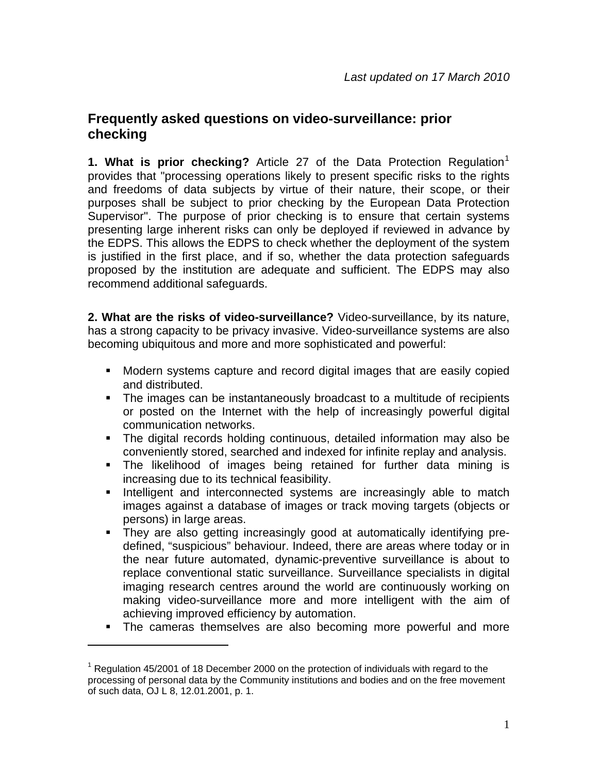## **Frequently asked questions on video-surveillance: prior checking**

**[1](#page-0-0). What is prior checking?** Article 27 of the Data Protection Regulation<sup>1</sup> provides that "processing operations likely to present specific risks to the rights and freedoms of data subjects by virtue of their nature, their scope, or their purposes shall be subject to prior checking by the European Data Protection Supervisor". The purpose of prior checking is to ensure that certain systems presenting large inherent risks can only be deployed if reviewed in advance by the EDPS. This allows the EDPS to check whether the deployment of the system is justified in the first place, and if so, whether the data protection safeguards proposed by the institution are adequate and sufficient. The EDPS may also recommend additional safeguards.

**2. What are the risks of video-surveillance?** Video-surveillance, by its nature, has a strong capacity to be privacy invasive. Video-surveillance systems are also becoming ubiquitous and more and more sophisticated and powerful:

- Modern systems capture and record digital images that are easily copied and distributed.
- The images can be instantaneously broadcast to a multitude of recipients or posted on the Internet with the help of increasingly powerful digital communication networks.
- The digital records holding continuous, detailed information may also be conveniently stored, searched and indexed for infinite replay and analysis.
- The likelihood of images being retained for further data mining is increasing due to its technical feasibility.
- **Intelligent and interconnected systems are increasingly able to match** images against a database of images or track moving targets (objects or persons) in large areas.
- They are also getting increasingly good at automatically identifying predefined, "suspicious" behaviour. Indeed, there are areas where today or in the near future automated, dynamic-preventive surveillance is about to replace conventional static surveillance. Surveillance specialists in digital imaging research centres around the world are continuously working on making video-surveillance more and more intelligent with the aim of achieving improved efficiency by automation.
- **The cameras themselves are also becoming more powerful and more**

1

<span id="page-0-0"></span><sup>&</sup>lt;sup>1</sup> Regulation 45/2001 of 18 December 2000 on the protection of individuals with regard to the processing of personal data by the Community institutions and bodies and on the free movement of such data, OJ L 8, 12.01.2001, p. 1.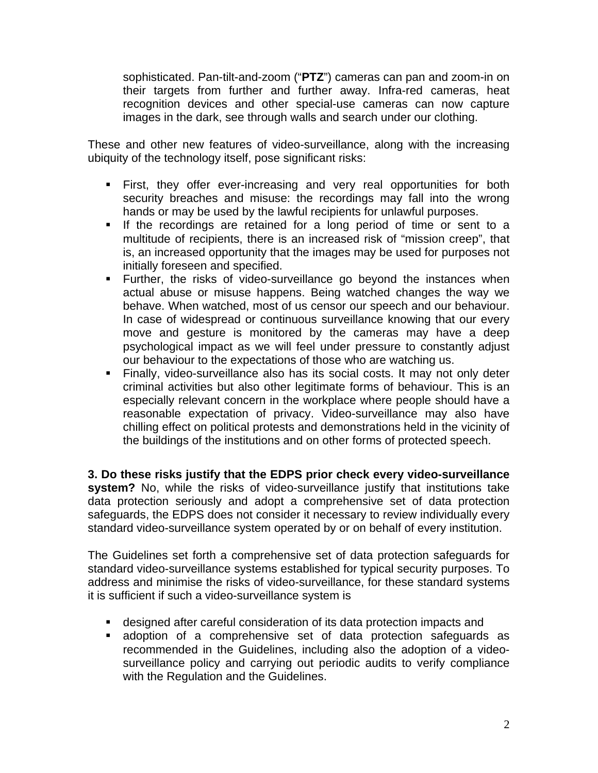sophisticated. Pan-tilt-and-zoom ("**PTZ**") cameras can pan and zoom-in on their targets from further and further away. Infra-red cameras, heat recognition devices and other special-use cameras can now capture images in the dark, see through walls and search under our clothing.

These and other new features of video-surveillance, along with the increasing ubiquity of the technology itself, pose significant risks:

- First, they offer ever-increasing and very real opportunities for both security breaches and misuse: the recordings may fall into the wrong hands or may be used by the lawful recipients for unlawful purposes.
- **If the recordings are retained for a long period of time or sent to a** multitude of recipients, there is an increased risk of "mission creep", that is, an increased opportunity that the images may be used for purposes not initially foreseen and specified.
- Further, the risks of video-surveillance go beyond the instances when actual abuse or misuse happens. Being watched changes the way we behave. When watched, most of us censor our speech and our behaviour. In case of widespread or continuous surveillance knowing that our every move and gesture is monitored by the cameras may have a deep psychological impact as we will feel under pressure to constantly adjust our behaviour to the expectations of those who are watching us.
- Finally, video-surveillance also has its social costs. It may not only deter criminal activities but also other legitimate forms of behaviour. This is an especially relevant concern in the workplace where people should have a reasonable expectation of privacy. Video-surveillance may also have chilling effect on political protests and demonstrations held in the vicinity of the buildings of the institutions and on other forms of protected speech.

**3. Do these risks justify that the EDPS prior check every video-surveillance system?** No, while the risks of video-surveillance justify that institutions take data protection seriously and adopt a comprehensive set of data protection safeguards, the EDPS does not consider it necessary to review individually every standard video-surveillance system operated by or on behalf of every institution.

The Guidelines set forth a comprehensive set of data protection safeguards for standard video-surveillance systems established for typical security purposes. To address and minimise the risks of video-surveillance, for these standard systems it is sufficient if such a video-surveillance system is

- designed after careful consideration of its data protection impacts and
- adoption of a comprehensive set of data protection safeguards as recommended in the Guidelines, including also the adoption of a videosurveillance policy and carrying out periodic audits to verify compliance with the Regulation and the Guidelines.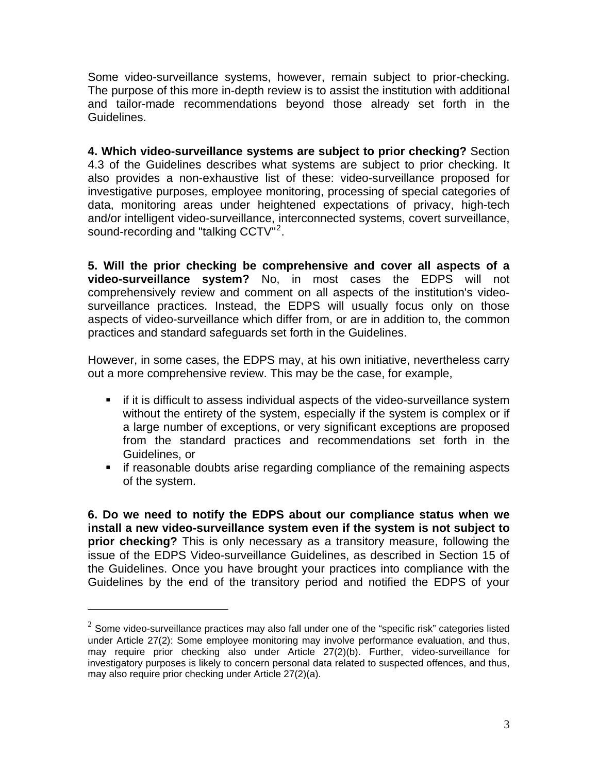Some video-surveillance systems, however, remain subject to prior-checking. The purpose of this more in-depth review is to assist the institution with additional and tailor-made recommendations beyond those already set forth in the Guidelines.

**4. Which video-surveillance systems are subject to prior checking?** Section 4.3 of the Guidelines describes what systems are subject to prior checking. It also provides a non-exhaustive list of these: video-surveillance proposed for investigative purposes, employee monitoring, processing of special categories of data, monitoring areas under heightened expectations of privacy, high-tech and/or intelligent video-surveillance, interconnected systems, covert surveillance, sound-recording and "talking CCTV"<sup>[2](#page-2-0)</sup>.

**5. Will the prior checking be comprehensive and cover all aspects of a video-surveillance system?** No, in most cases the EDPS will not comprehensively review and comment on all aspects of the institution's videosurveillance practices. Instead, the EDPS will usually focus only on those aspects of video-surveillance which differ from, or are in addition to, the common practices and standard safeguards set forth in the Guidelines.

However, in some cases, the EDPS may, at his own initiative, nevertheless carry out a more comprehensive review. This may be the case, for example,

- if it is difficult to assess individual aspects of the video-surveillance system without the entirety of the system, especially if the system is complex or if a large number of exceptions, or very significant exceptions are proposed from the standard practices and recommendations set forth in the Guidelines, or
- **F** if reasonable doubts arise regarding compliance of the remaining aspects of the system.

**6. Do we need to notify the EDPS about our compliance status when we install a new video-surveillance system even if the system is not subject to prior checking?** This is only necessary as a transitory measure, following the issue of the EDPS Video-surveillance Guidelines, as described in Section 15 of the Guidelines. Once you have brought your practices into compliance with the Guidelines by the end of the transitory period and notified the EDPS of your

 $\overline{a}$ 

<span id="page-2-0"></span> $2$  Some video-surveillance practices may also fall under one of the "specific risk" categories listed under Article 27(2): Some employee monitoring may involve performance evaluation, and thus, may require prior checking also under Article 27(2)(b). Further, video-surveillance for investigatory purposes is likely to concern personal data related to suspected offences, and thus, may also require prior checking under Article 27(2)(a).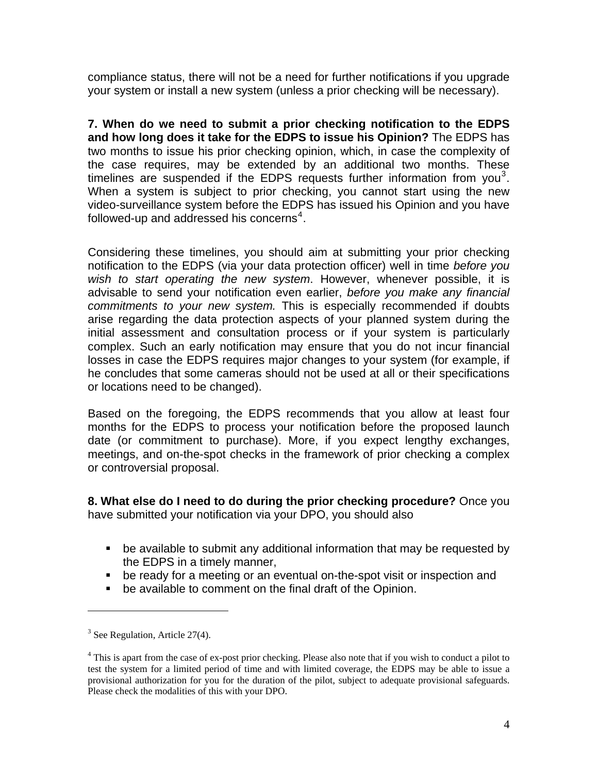compliance status, there will not be a need for further notifications if you upgrade your system or install a new system (unless a prior checking will be necessary).

**7. When do we need to submit a prior checking notification to the EDPS and how long does it take for the EDPS to issue his Opinion?** The EDPS has two months to issue his prior checking opinion, which, in case the complexity of the case requires, may be extended by an additional two months. These timelines are suspended if the EDPS requests further information from you<sup>[3](#page-3-0)</sup>. When a system is subject to prior checking, you cannot start using the new video-surveillance system before the EDPS has issued his Opinion and you have followed-up and addressed his concerns<sup>[4](#page-3-1)</sup>.

Considering these timelines, you should aim at submitting your prior checking notification to the EDPS (via your data protection officer) well in time *before you wish to start operating the new system*. However, whenever possible, it is advisable to send your notification even earlier, *before you make any financial commitments to your new system.* This is especially recommended if doubts arise regarding the data protection aspects of your planned system during the initial assessment and consultation process or if your system is particularly complex. Such an early notification may ensure that you do not incur financial losses in case the EDPS requires major changes to your system (for example, if he concludes that some cameras should not be used at all or their specifications or locations need to be changed).

Based on the foregoing, the EDPS recommends that you allow at least four months for the EDPS to process your notification before the proposed launch date (or commitment to purchase). More, if you expect lengthy exchanges, meetings, and on-the-spot checks in the framework of prior checking a complex or controversial proposal.

**8. What else do I need to do during the prior checking procedure?** Once you have submitted your notification via your DPO, you should also

- be available to submit any additional information that may be requested by the EDPS in a timely manner,
- be ready for a meeting or an eventual on-the-spot visit or inspection and
- be available to comment on the final draft of the Opinion.

<u>.</u>

<span id="page-3-0"></span> $3$  See Regulation, Article 27(4).

<span id="page-3-1"></span><sup>&</sup>lt;sup>4</sup> This is apart from the case of ex-post prior checking. Please also note that if you wish to conduct a pilot to test the system for a limited period of time and with limited coverage, the EDPS may be able to issue a provisional authorization for you for the duration of the pilot, subject to adequate provisional safeguards. Please check the modalities of this with your DPO.